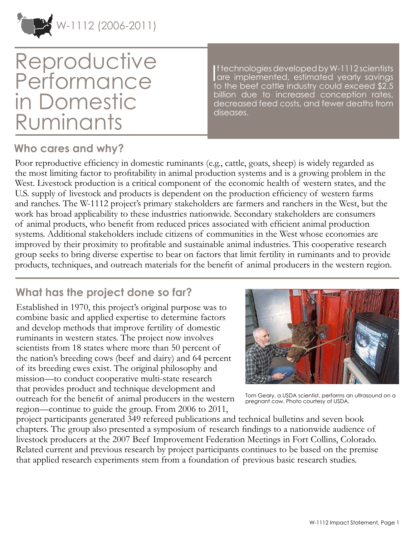

# Reproductive Performance in Domestic Ruminants

If technologies developed by W-1112 scientists<br>
are implemented, estimated yearly savings<br>
to the beef estimate industry equidences of \$2.5 f technologies developed by W-1112 scientists to the beef cattle industry could exceed \$2.5 billion due to increased conception rates, decreased feed costs, and fewer deaths from diseases.

### **Who cares and why?**

Poor reproductive efficiency in domestic ruminants (e.g., cattle, goats, sheep) is widely regarded as the most limiting factor to profitability in animal production systems and is a growing problem in the West. Livestock production is a critical component of the economic health of western states, and the U.S. supply of livestock and products is dependent on the production efficiency of western farms and ranches. The W-1112 project's primary stakeholders are farmers and ranchers in the West, but the work has broad applicability to these industries nationwide. Secondary stakeholders are consumers of animal products, who benefit from reduced prices associated with efficient animal production systems. Additional stakeholders include citizens of communities in the West whose economies are improved by their proximity to profitable and sustainable animal industries. This cooperative research group seeks to bring diverse expertise to bear on factors that limit fertility in ruminants and to provide products, techniques, and outreach materials for the benefit of animal producers in the western region.

## **What has the project done so far?**

Established in 1970, this project's original purpose was to combine basic and applied expertise to determine factors and develop methods that improve fertility of domestic ruminants in western states. The project now involves scientists from 18 states where more than 50 percent of the nation's breeding cows (beef and dairy) and 64 percent of its breeding ewes exist. The original philosophy and mission—to conduct cooperative multi-state research that provides product and technique development and outreach for the benefit of animal producers in the western region—continue to guide the group. From 2006 to 2011,



Tom Geary, a USDA scientist, performs an ultrasound on a pregnant cow. Photo courtesy of USDA.

project participants generated 349 refereed publications and technical bulletins and seven book chapters. The group also presented a symposium of research findings to a nationwide audience of livestock producers at the 2007 Beef Improvement Federation Meetings in Fort Collins, Colorado. Related current and previous research by project participants continues to be based on the premise that applied research experiments stem from a foundation of previous basic research studies.